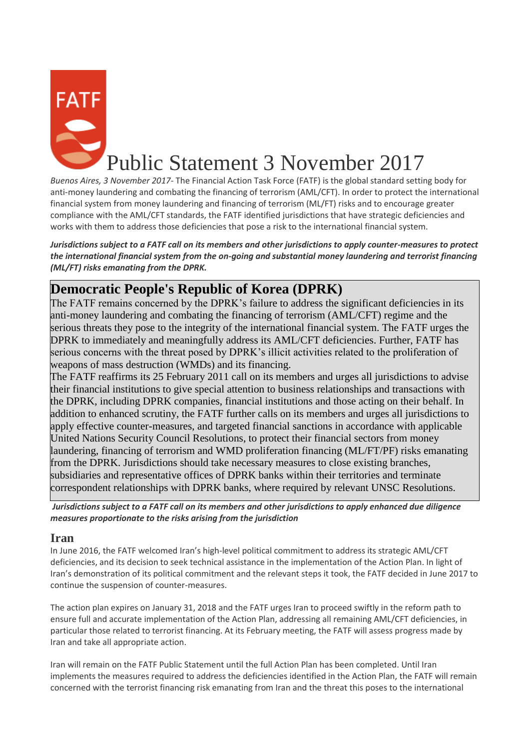

*Buenos Aires, 3 November 2017-* The Financial Action Task Force (FATF) is the global standard setting body for anti-money laundering and combating the financing of terrorism (AML/CFT). In order to protect the international financial system from money laundering and financing of terrorism (ML/FT) risks and to encourage greater compliance with the AML/CFT standards, the FATF identified jurisdictions that have strategic deficiencies and works with them to address those deficiencies that pose a risk to the international financial system.

*Jurisdictions subject to a FATF call on its members and other jurisdictions to apply counter-measures to protect the international financial system from the on-going and substantial money laundering and terrorist financing (ML/FT) risks emanating from the DPRK.*

## **Democratic People's Republic of Korea (DPRK)**

The FATF remains concerned by the DPRK's failure to address the significant deficiencies in its anti-money laundering and combating the financing of terrorism (AML/CFT) regime and the serious threats they pose to the integrity of the international financial system. The FATF urges the DPRK to immediately and meaningfully address its AML/CFT deficiencies. Further, FATF has serious concerns with the threat posed by DPRK's illicit activities related to the proliferation of weapons of mass destruction (WMDs) and its financing.

The FATF reaffirms its 25 February 2011 call on its members and urges all jurisdictions to advise their financial institutions to give special attention to business relationships and transactions with the DPRK, including DPRK companies, financial institutions and those acting on their behalf. In addition to enhanced scrutiny, the FATF further calls on its members and urges all jurisdictions to apply effective counter-measures, and targeted financial sanctions in accordance with applicable United Nations Security Council Resolutions, to protect their financial sectors from money laundering, financing of terrorism and WMD proliferation financing (ML/FT/PF) risks emanating from the DPRK. Jurisdictions should take necessary measures to close existing branches, subsidiaries and representative offices of DPRK banks within their territories and terminate correspondent relationships with DPRK banks, where required by relevant UNSC Resolutions.

*Jurisdictions subject to a FATF call on its members and other jurisdictions to apply enhanced due diligence measures proportionate to the risks arising from the jurisdiction*

## **Iran**

In June 2016, the FATF welcomed Iran's high-level political commitment to address its strategic AML/CFT deficiencies, and its decision to seek technical assistance in the implementation of the Action Plan. In light of Iran's demonstration of its political commitment and the relevant steps it took, the FATF decided in June 2017 to continue the suspension of counter-measures.

The action plan expires on January 31, 2018 and the FATF urges Iran to proceed swiftly in the reform path to ensure full and accurate implementation of the Action Plan, addressing all remaining AML/CFT deficiencies, in particular those related to terrorist financing. At its February meeting, the FATF will assess progress made by Iran and take all appropriate action.

Iran will remain on the FATF Public Statement until the full Action Plan has been completed. Until Iran implements the measures required to address the deficiencies identified in the Action Plan, the FATF will remain concerned with the terrorist financing risk emanating from Iran and the threat this poses to the international